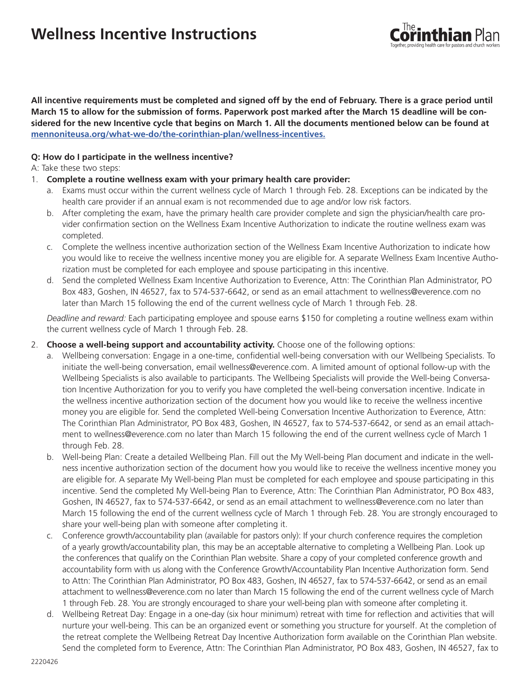# **Wellness Incentive Instructions**



**All incentive requirements must be completed and signed off by the end of February. There is a grace period until March 15 to allow for the submission of forms. Paperwork post marked after the March 15 deadline will be considered for the new Incentive cycle that begins on March 1. All the documents mentioned below can be found at mennoniteusa.org/what-we-do/the-corinthian-plan/wellness-incentives.**

### **Q: How do I participate in the wellness incentive?**

#### A: Take these two steps:

- 1. **Complete a routine wellness exam with your primary health care provider:**
	- a. Exams must occur within the current wellness cycle of March 1 through Feb. 28. Exceptions can be indicated by the health care provider if an annual exam is not recommended due to age and/or low risk factors.
	- b. After completing the exam, have the primary health care provider complete and sign the physician/health care provider confirmation section on the Wellness Exam Incentive Authorization to indicate the routine wellness exam was completed.
	- c. Complete the wellness incentive authorization section of the Wellness Exam Incentive Authorization to indicate how you would like to receive the wellness incentive money you are eligible for. A separate Wellness Exam Incentive Authorization must be completed for each employee and spouse participating in this incentive.
	- d. Send the completed Wellness Exam Incentive Authorization to Everence, Attn: The Corinthian Plan Administrator, PO Box 483, Goshen, IN 46527, fax to 574-537-6642, or send as an email attachment to wellness@everence.com no later than March 15 following the end of the current wellness cycle of March 1 through Feb. 28.

*Deadline and reward:* Each participating employee and spouse earns \$150 for completing a routine wellness exam within the current wellness cycle of March 1 through Feb. 28.

- 2. **Choose a well-being support and accountability activity.** Choose one of the following options:
	- a. Wellbeing conversation: Engage in a one-time, confidential well-being conversation with our Wellbeing Specialists. To initiate the well-being conversation, email wellness@everence.com. A limited amount of optional follow-up with the Wellbeing Specialists is also available to participants. The Wellbeing Specialists will provide the Well-being Conversation Incentive Authorization for you to verify you have completed the well-being conversation incentive. Indicate in the wellness incentive authorization section of the document how you would like to receive the wellness incentive money you are eligible for. Send the completed Well-being Conversation Incentive Authorization to Everence, Attn: The Corinthian Plan Administrator, PO Box 483, Goshen, IN 46527, fax to 574-537-6642, or send as an email attachment to wellness@everence.com no later than March 15 following the end of the current wellness cycle of March 1 through Feb. 28.
	- b. Well-being Plan: Create a detailed Wellbeing Plan. Fill out the My Well-being Plan document and indicate in the wellness incentive authorization section of the document how you would like to receive the wellness incentive money you are eligible for. A separate My Well-being Plan must be completed for each employee and spouse participating in this incentive. Send the completed My Well-being Plan to Everence, Attn: The Corinthian Plan Administrator, PO Box 483, Goshen, IN 46527, fax to 574-537-6642, or send as an email attachment to wellness@everence.com no later than March 15 following the end of the current wellness cycle of March 1 through Feb. 28. You are strongly encouraged to share your well-being plan with someone after completing it.
	- c. Conference growth/accountability plan (available for pastors only): If your church conference requires the completion of a yearly growth/accountability plan, this may be an acceptable alternative to completing a Wellbeing Plan. Look up the conferences that qualify on the Corinthian Plan website. Share a copy of your completed conference growth and accountability form with us along with the Conference Growth/Accountability Plan Incentive Authorization form. Send to Attn: The Corinthian Plan Administrator, PO Box 483, Goshen, IN 46527, fax to 574-537-6642, or send as an email attachment to wellness@everence.com no later than March 15 following the end of the current wellness cycle of March 1 through Feb. 28. You are strongly encouraged to share your well-being plan with someone after completing it.
	- d. Wellbeing Retreat Day: Engage in a one-day (six hour minimum) retreat with time for reflection and activities that will nurture your well-being. This can be an organized event or something you structure for yourself. At the completion of the retreat complete the Wellbeing Retreat Day Incentive Authorization form available on the Corinthian Plan website. Send the completed form to Everence, Attn: The Corinthian Plan Administrator, PO Box 483, Goshen, IN 46527, fax to